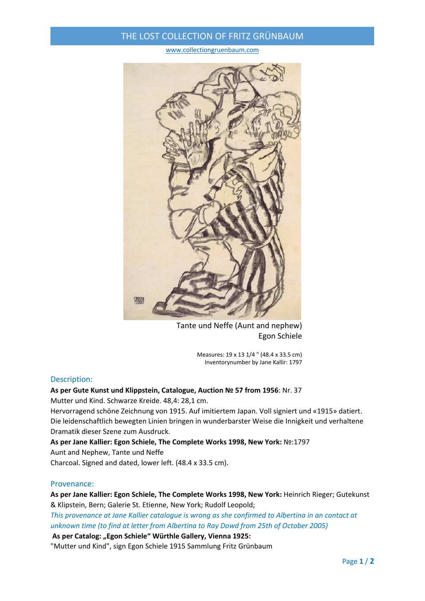### THE LOST COLLECTION OF FRITZ GRÜNBAUM

www.collectiongruenbaum.com



Tante und Neffe (Aunt and nephew) Egon Schiele

Measures: 19 x 13 1/4 " (48.4 x 33.5 cm) Inventorynumber by Jane Kallir: 1797

#### Description:

# **As per Gute Kunst und Klippstein, Catalogue, Auction № 57 from 1956**: Nr. 37

Mutter und Kind. Schwarze Kreide. 48,4: 28,1 cm.

Hervorragend schöne Zeichnung von 1915. Auf imitiertem Japan. Voll signiert und «1915» datiert. Die leidenschaftlich bewegten Linien bringen in wunderbarster Weise die Innigkeit und verhaltene Dramatik dieser Szene zum Ausdruck.

**As per Jane Kallier: Egon Schiele, The Complete Works 1998, New York:** №:1797 Aunt and Nephew, Tante und Neffe

Charcoal. Signed and dated, lower left. (48.4 x 33.5 cm).

### Provenance:

**As per Jane Kallier: Egon Schiele, The Complete Works 1998, New York:** Heinrich Rieger; Gutekunst & Klipstein, Bern; Galerie St. Etienne, New York; Rudolf Leopold;

*This provenance at Jane Kallier catalogue is wrong as she confirmed to Albertina in an contact at unknown time (to find at letter from Albertina to Ray Dowd from 25th of October 2005)*

**As per Catalog: "Egon Schiele" Würthle Gallery, Vienna 1925:**

"Mutter und Kind", sign Egon Schiele 1915 Sammlung Fritz Grünbaum